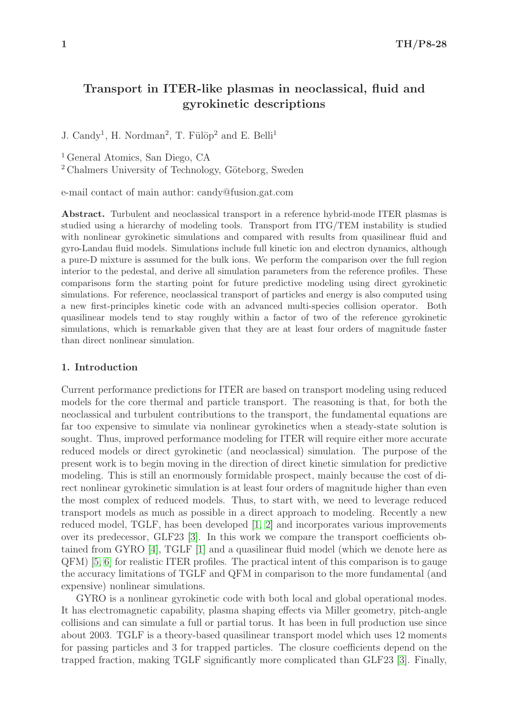# Transport in ITER-like plasmas in neoclassical, fluid and gyrokinetic descriptions

J. Candy<sup>1</sup>, H. Nordman<sup>2</sup>, T. Fülöp<sup>2</sup> and E. Belli<sup>1</sup>

<sup>1</sup> General Atomics, San Diego, CA

<sup>2</sup> Chalmers University of Technology, Göteborg, Sweden

e-mail contact of main author: candy@fusion.gat.com

Abstract. Turbulent and neoclassical transport in a reference hybrid-mode ITER plasmas is studied using a hierarchy of modeling tools. Transport from ITG/TEM instability is studied with nonlinear gyrokinetic simulations and compared with results from quasilinear fluid and gyro-Landau fluid models. Simulations include full kinetic ion and electron dynamics, although a pure-D mixture is assumed for the bulk ions. We perform the comparison over the full region interior to the pedestal, and derive all simulation parameters from the reference profiles. These comparisons form the starting point for future predictive modeling using direct gyrokinetic simulations. For reference, neoclassical transport of particles and energy is also computed using a new first-principles kinetic code with an advanced multi-species collision operator. Both quasilinear models tend to stay roughly within a factor of two of the reference gyrokinetic simulations, which is remarkable given that they are at least four orders of magnitude faster than direct nonlinear simulation.

## 1. Introduction

Current performance predictions for ITER are based on transport modeling using reduced models for the core thermal and particle transport. The reasoning is that, for both the neoclassical and turbulent contributions to the transport, the fundamental equations are far too expensive to simulate via nonlinear gyrokinetics when a steady-state solution is sought. Thus, improved performance modeling for ITER will require either more accurate reduced models or direct gyrokinetic (and neoclassical) simulation. The purpose of the present work is to begin moving in the direction of direct kinetic simulation for predictive modeling. This is still an enormously formidable prospect, mainly because the cost of direct nonlinear gyrokinetic simulation is at least four orders of magnitude higher than even the most complex of reduced models. Thus, to start with, we need to leverage reduced transport models as much as possible in a direct approach to modeling. Recently a new reduced model, TGLF, has been developed [\[1,](#page-7-0) [2\]](#page-7-1) and incorporates various improvements over its predecessor, GLF23 [\[3\]](#page-7-2). In this work we compare the transport coefficients obtained from GYRO [\[4\]](#page-7-3), TGLF [\[1\]](#page-7-0) and a quasilinear fluid model (which we denote here as QFM) [\[5,](#page-7-4) [6\]](#page-7-5) for realistic ITER profiles. The practical intent of this comparison is to gauge the accuracy limitations of TGLF and QFM in comparison to the more fundamental (and expensive) nonlinear simulations.

GYRO is a nonlinear gyrokinetic code with both local and global operational modes. It has electromagnetic capability, plasma shaping effects via Miller geometry, pitch-angle collisions and can simulate a full or partial torus. It has been in full production use since about 2003. TGLF is a theory-based quasilinear transport model which uses 12 moments for passing particles and 3 for trapped particles. The closure coefficients depend on the trapped fraction, making TGLF significantly more complicated than GLF23 [\[3\]](#page-7-2). Finally,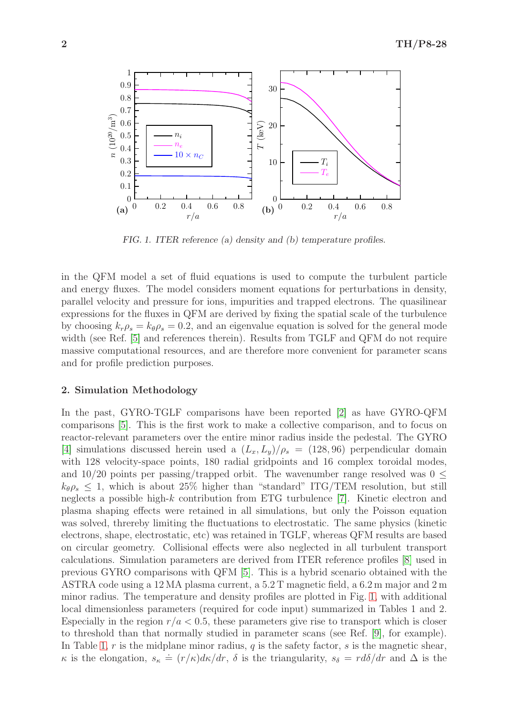

<span id="page-1-0"></span>FIG. 1. ITER reference (a) density and (b) temperature profiles.

in the QFM model a set of fluid equations is used to compute the turbulent particle and energy fluxes. The model considers moment equations for perturbations in density, parallel velocity and pressure for ions, impurities and trapped electrons. The quasilinear expressions for the fluxes in QFM are derived by fixing the spatial scale of the turbulence by choosing  $k_r \rho_s = k_\theta \rho_s = 0.2$ , and an eigenvalue equation is solved for the general mode width (see Ref. [\[5\]](#page-7-4) and references therein). Results from TGLF and QFM do not require massive computational resources, and are therefore more convenient for parameter scans and for profile prediction purposes.

### 2. Simulation Methodology

In the past, GYRO-TGLF comparisons have been reported [\[2\]](#page-7-1) as have GYRO-QFM comparisons [\[5\]](#page-7-4). This is the first work to make a collective comparison, and to focus on reactor-relevant parameters over the entire minor radius inside the pedestal. The GYRO [\[4\]](#page-7-3) simulations discussed herein used a  $(L_x, L_y)/\rho_s = (128, 96)$  perpendicular domain with 128 velocity-space points, 180 radial gridpoints and 16 complex toroidal modes, and 10/20 points per passing/trapped orbit. The wavenumber range resolved was  $0 \leq$  $k_{\theta} \rho_s \leq 1$ , which is about 25% higher than "standard" ITG/TEM resolution, but still neglects a possible high-k contribution from ETG turbulence [\[7\]](#page-7-6). Kinetic electron and plasma shaping effects were retained in all simulations, but only the Poisson equation was solved, threreby limiting the fluctuations to electrostatic. The same physics (kinetic electrons, shape, electrostatic, etc) was retained in TGLF, whereas QFM results are based on circular geometry. Collisional effects were also neglected in all turbulent transport calculations. Simulation parameters are derived from ITER reference profiles [\[8\]](#page-7-7) used in previous GYRO comparisons with QFM [\[5\]](#page-7-4). This is a hybrid scenario obtained with the ASTRA code using a 12 MA plasma current, a 5.2 T magnetic field, a 6.2 m major and 2 m minor radius. The temperature and density profiles are plotted in Fig. [1,](#page-1-0) with additional local dimensionless parameters (required for code input) summarized in Tables 1 and 2. Especially in the region  $r/a < 0.5$ , these parameters give rise to transport which is closer to threshold than that normally studied in parameter scans (see Ref. [\[9\]](#page-7-8), for example). In Table [1,](#page-2-0) r is the midplane minor radius, q is the safety factor, s is the magnetic shear,  $\kappa$  is the elongation,  $s_{\kappa} \doteq (r/\kappa)d\kappa/dr$ ,  $\delta$  is the triangularity,  $s_{\delta} = r d\delta/dr$  and  $\Delta$  is the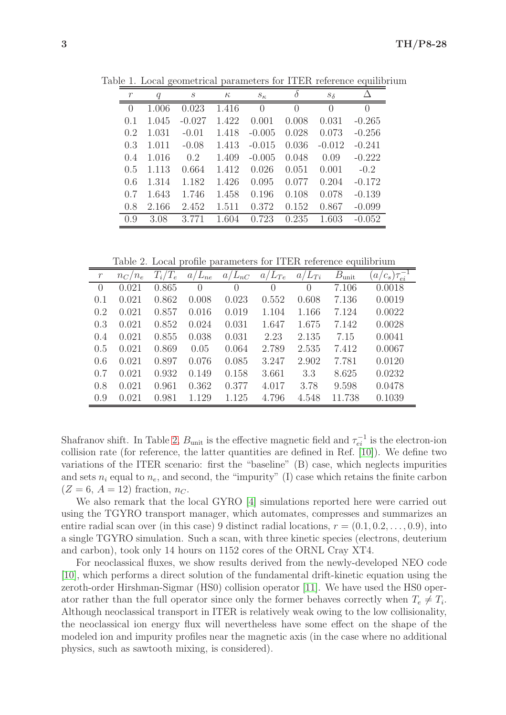| $\mathcal{r}$    | $\boldsymbol{q}$ | S        | $\kappa$ | $S_{\kappa}$ | $\delta$ | $S_{\delta}$     |                  |
|------------------|------------------|----------|----------|--------------|----------|------------------|------------------|
| $\left( \right)$ | 1.006            | 0.023    | 1.416    | $\theta$     | 0        | $\left( \right)$ | $\left( \right)$ |
| 0.1              | 1.045            | $-0.027$ | 1.422    | 0.001        | 0.008    | 0.031            | $-0.265$         |
| 0.2              | 1.031            | $-0.01$  | 1.418    | $-0.005$     | 0.028    | 0.073            | $-0.256$         |
| 0.3              | 1.011            | $-0.08$  | 1.413    | $-0.015$     | 0.036    | $-0.012$         | $-0.241$         |
| 0.4              | 1.016            | 0.2      | 1.409    | $-0.005$     | 0.048    | 0.09             | $-0.222$         |
| 0.5              | 1.113            | 0.664    | 1.412    | 0.026        | 0.051    | 0.001            | $-0.2$           |
| 0.6              | 1.314            | 1.182    | 1.426    | 0.095        | 0.077    | 0.204            | $-0.172$         |
| 0.7              | 1.643            | 1.746    | 1.458    | 0.196        | 0.108    | 0.078            | $-0.139$         |
| 0.8              | 2.166            | 2.452    | 1.511    | 0.372        | 0.152    | 0.867            | $-0.099$         |
| 0.9              | 3.08             | 3.771    | 1.604    | 0.723        | 0.235    | 1.603            | $-0.052$         |

<span id="page-2-0"></span>Table 1. Local geometrical parameters for ITER reference equilibrium

Table 2. Local profile parameters for ITER reference equilibrium

<span id="page-2-1"></span>

| $\,r\,$  | $n_C/n_e$ | $T_i/T_e$ | $a/L_{ne}$       | $a/L_{nC}$ | $a/L_{Te}$       | $a/L_{Ti}$       | $B_{\rm unit}$ | $a/c_s$ ) $\tau_{ei}^-$ |
|----------|-----------|-----------|------------------|------------|------------------|------------------|----------------|-------------------------|
| $\Omega$ | 0.021     | 0.865     | $\left( \right)$ | $\Omega$   | $\left( \right)$ | $\left( \right)$ | 7.106          | 0.0018                  |
| 0.1      | 0.021     | 0.862     | 0.008            | 0.023      | 0.552            | 0.608            | 7.136          | 0.0019                  |
| 0.2      | 0.021     | 0.857     | 0.016            | 0.019      | 1.104            | 1.166            | 7.124          | 0.0022                  |
| 0.3      | 0.021     | 0.852     | 0.024            | 0.031      | 1.647            | 1.675            | 7.142          | 0.0028                  |
| 0.4      | 0.021     | 0.855     | 0.038            | 0.031      | 2.23             | 2.135            | 7.15           | 0.0041                  |
| 0.5      | 0.021     | 0.869     | 0.05             | 0.064      | 2.789            | 2.535            | 7.412          | 0.0067                  |
| 0.6      | 0.021     | 0.897     | 0.076            | 0.085      | 3.247            | 2.902            | 7.781          | 0.0120                  |
| 0.7      | 0.021     | 0.932     | 0.149            | 0.158      | 3.661            | 3.3              | 8.625          | 0.0232                  |
| 0.8      | 0.021     | 0.961     | 0.362            | 0.377      | 4.017            | 3.78             | 9.598          | 0.0478                  |
| 0.9      | 0.021     | 0.981     | 1.129            | 1.125      | 4.796            | 4.548            | 11.738         | 0.1039                  |

Shafranov shift. In Table [2,](#page-2-1)  $B_{\text{unit}}$  is the effective magnetic field and  $\tau_{ei}^{-1}$  is the electron-ion collision rate (for reference, the latter quantities are defined in Ref. [\[10\]](#page-7-9)). We define two variations of the ITER scenario: first the "baseline" (B) case, which neglects impurities and sets  $n_i$  equal to  $n_e$ , and second, the "impurity" (I) case which retains the finite carbon  $(Z = 6, A = 12)$  fraction,  $n_C$ .

We also remark that the local GYRO [\[4\]](#page-7-3) simulations reported here were carried out using the TGYRO transport manager, which automates, compresses and summarizes an entire radial scan over (in this case) 9 distinct radial locations,  $r = (0.1, 0.2, \ldots, 0.9)$ , into a single TGYRO simulation. Such a scan, with three kinetic species (electrons, deuterium and carbon), took only 14 hours on 1152 cores of the ORNL Cray XT4.

For neoclassical fluxes, we show results derived from the newly-developed NEO code [\[10\]](#page-7-9), which performs a direct solution of the fundamental drift-kinetic equation using the zeroth-order Hirshman-Sigmar (HS0) collision operator [\[11\]](#page-7-10). We have used the HS0 operator rather than the full operator since only the former behaves correctly when  $T_e \neq T_i$ . Although neoclassical transport in ITER is relatively weak owing to the low collisionality, the neoclassical ion energy flux will nevertheless have some effect on the shape of the modeled ion and impurity profiles near the magnetic axis (in the case where no additional physics, such as sawtooth mixing, is considered).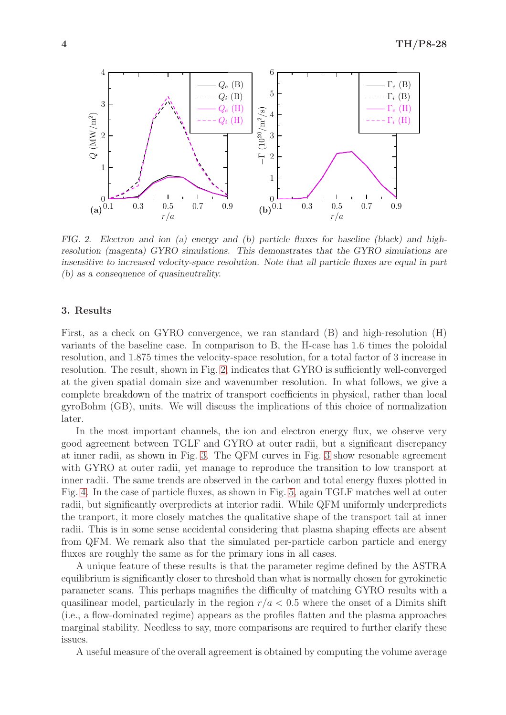

<span id="page-3-0"></span>FIG. 2. Electron and ion (a) energy and (b) particle fluxes for baseline (black) and highresolution (magenta) GYRO simulations. This demonstrates that the GYRO simulations are insensitive to increased velocity-space resolution. Note that all particle fluxes are equal in part (b) as a consequence of quasineutrality.

### 3. Results

First, as a check on GYRO convergence, we ran standard (B) and high-resolution (H) variants of the baseline case. In comparison to B, the H-case has 1.6 times the poloidal resolution, and 1.875 times the velocity-space resolution, for a total factor of 3 increase in resolution. The result, shown in Fig. [2,](#page-3-0) indicates that GYRO is sufficiently well-converged at the given spatial domain size and wavenumber resolution. In what follows, we give a complete breakdown of the matrix of transport coefficients in physical, rather than local gyroBohm (GB), units. We will discuss the implications of this choice of normalization later.

In the most important channels, the ion and electron energy flux, we observe very good agreement between TGLF and GYRO at outer radii, but a significant discrepancy at inner radii, as shown in Fig. [3.](#page-4-0) The QFM curves in Fig. [3](#page-4-0) show resonable agreement with GYRO at outer radii, yet manage to reproduce the transition to low transport at inner radii. The same trends are observed in the carbon and total energy fluxes plotted in Fig. [4.](#page-4-1) In the case of particle fluxes, as shown in Fig. [5,](#page-5-0) again TGLF matches well at outer radii, but significantly overpredicts at interior radii. While QFM uniformly underpredicts the tranport, it more closely matches the qualitative shape of the transport tail at inner radii. This is in some sense accidental considering that plasma shaping effects are absent from QFM. We remark also that the simulated per-particle carbon particle and energy fluxes are roughly the same as for the primary ions in all cases.

A unique feature of these results is that the parameter regime defined by the ASTRA equilibrium is significantly closer to threshold than what is normally chosen for gyrokinetic parameter scans. This perhaps magnifies the difficulty of matching GYRO results with a quasilinear model, particularly in the region  $r/a < 0.5$  where the onset of a Dimits shift (i.e., a flow-dominated regime) appears as the profiles flatten and the plasma approaches marginal stability. Needless to say, more comparisons are required to further clarify these issues.

A useful measure of the overall agreement is obtained by computing the volume average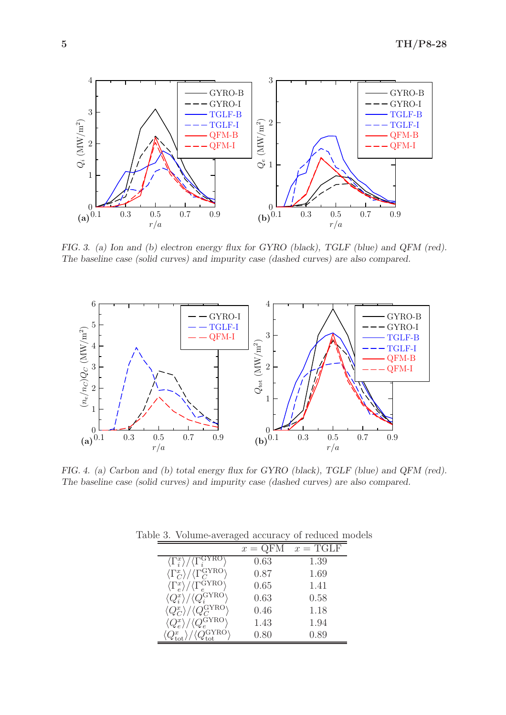

<span id="page-4-0"></span>FIG. 3. (a) Ion and (b) electron energy flux for GYRO (black), TGLF (blue) and QFM (red). The baseline case (solid curves) and impurity case (dashed curves) are also compared.



<span id="page-4-1"></span>FIG. 4. (a) Carbon and (b) total energy flux for GYRO (black), TGLF (blue) and QFM (red). The baseline case (solid curves) and impurity case (dashed curves) are also compared.

|                                                                           | $x = QFM$ | $x = TGLF$ |
|---------------------------------------------------------------------------|-----------|------------|
| $\langle \Gamma_i^x \rangle$                                              | 0.63      | 1.39       |
| $\langle \Gamma_C^x \rangle / \langle \Gamma_C^{\rm GYRO} \rangle$        | 0.87      | 1.69       |
| $\langle \Gamma_e^x \rangle / \langle \Gamma_e^{\text{GYRO}} \rangle$     | 0.65      | 1.41       |
| $\langle Q_i^x \rangle / \langle Q_i^{\text{GYRO}} \rangle$               | 0.63      | 0.58       |
| $\langle Q_C^x \rangle / \langle Q_C^{\rm GYRO}$                          | 0.46      | 1.18       |
| $\langle Q_{\text{c}}^{\text{GYRO}} \rangle$<br>$\langle Q_e^x \rangle /$ | 1.43      | 1.94       |
|                                                                           | 0.80      | 0.89       |

<span id="page-4-2"></span>Table 3. Volume-averaged accuracy of reduced models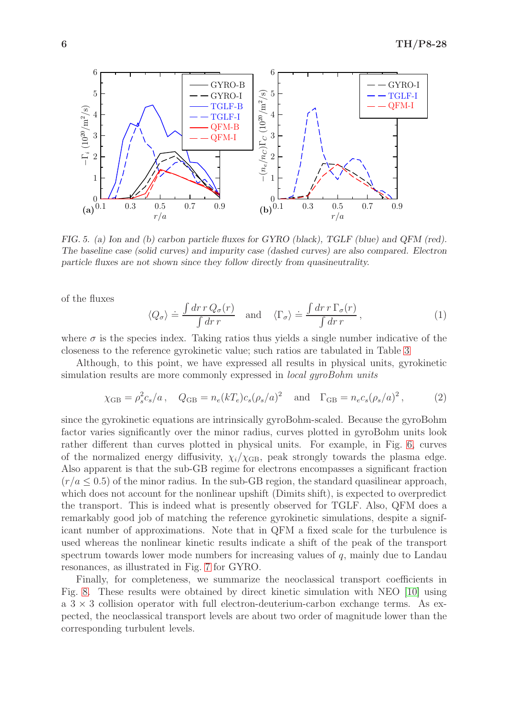

<span id="page-5-0"></span>FIG. 5. (a) Ion and (b) carbon particle fluxes for GYRO (black), TGLF (blue) and QFM (red). The baseline case (solid curves) and impurity case (dashed curves) are also compared. Electron particle fluxes are not shown since they follow directly from quasineutrality.

of the fluxes

$$
\langle Q_{\sigma} \rangle \doteq \frac{\int dr \, r \, Q_{\sigma}(r)}{\int dr \, r} \quad \text{and} \quad \langle \Gamma_{\sigma} \rangle \doteq \frac{\int dr \, r \, \Gamma_{\sigma}(r)}{\int dr \, r}, \tag{1}
$$

where  $\sigma$  is the species index. Taking ratios thus yields a single number indicative of the closeness to the reference gyrokinetic value; such ratios are tabulated in Table [3](#page-4-2)

Although, to this point, we have expressed all results in physical units, gyrokinetic simulation results are more commonly expressed in *local gyroBohm units* 

$$
\chi_{GB} = \rho_s^2 c_s / a
$$
,  $Q_{GB} = n_e (kT_e) c_s (\rho_s / a)^2$  and  $\Gamma_{GB} = n_e c_s (\rho_s / a)^2$ , (2)

since the gyrokinetic equations are intrinsically gyroBohm-scaled. Because the gyroBohm factor varies significantly over the minor radius, curves plotted in gyroBohm units look rather different than curves plotted in physical units. For example, in Fig. [6,](#page-6-0) curves of the normalized energy diffusivity,  $\chi_i/\chi_{\text{GB}}$ , peak strongly towards the plasma edge. Also apparent is that the sub-GB regime for electrons encompasses a significant fraction  $(r/a \leq 0.5)$  of the minor radius. In the sub-GB region, the standard quasilinear approach, which does not account for the nonlinear upshift (Dimits shift), is expected to overpredict the transport. This is indeed what is presently observed for TGLF. Also, QFM does a remarkably good job of matching the reference gyrokinetic simulations, despite a significant number of approximations. Note that in QFM a fixed scale for the turbulence is used whereas the nonlinear kinetic results indicate a shift of the peak of the transport spectrum towards lower mode numbers for increasing values of  $q$ , mainly due to Landau resonances, as illustrated in Fig. [7](#page-6-1) for GYRO.

Finally, for completeness, we summarize the neoclassical transport coefficients in Fig. [8.](#page-7-11) These results were obtained by direct kinetic simulation with NEO [\[10\]](#page-7-9) using  $a \cdot 3 \times 3$  collision operator with full electron-deuterium-carbon exchange terms. As expected, the neoclassical transport levels are about two order of magnitude lower than the corresponding turbulent levels.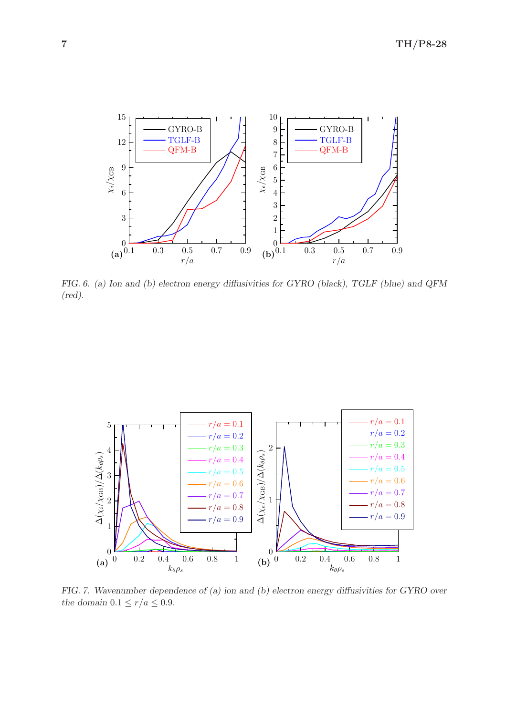

<span id="page-6-0"></span>FIG. 6. (a) Ion and (b) electron energy diffusivities for GYRO (black), TGLF (blue) and QFM (red).



<span id="page-6-1"></span>FIG. 7. Wavenumber dependence of (a) ion and (b) electron energy diffusivities for GYRO over the domain  $0.1 \le r/a \le 0.9$ .